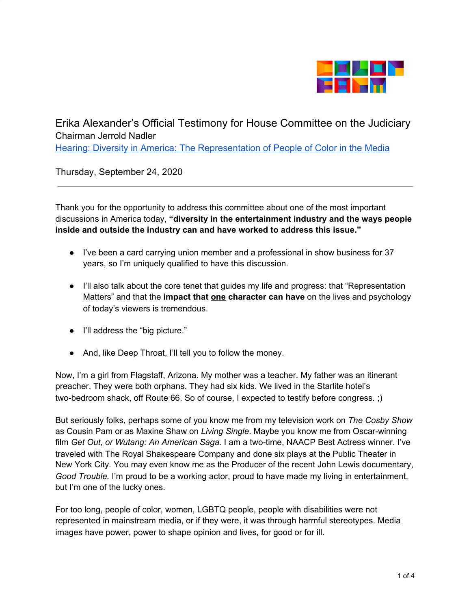

## Erika Alexander's Official Testimony for House Committee on the Judiciary Chairman Jerrold Nadler

[Hearing: Diversity in America: The Representation of People of Color in the Media](https://judiciary.house.gov/calendar/eventsingle.aspx?EventID=3354)

Thursday, September 24, 2020

Thank you for the opportunity to address this committee about one of the most important discussions in America today, **"diversity in the entertainment industry and the ways people inside and outside the industry can and have worked to address this issue."**

- I've been a card carrying union member and a professional in show business for 37 years, so I'm uniquely qualified to have this discussion.
- I'll also talk about the core tenet that guides my life and progress: that "Representation Matters" and that the **impact that one character can have** on the lives and psychology of today's viewers is tremendous.
- I'll address the "big picture."
- And, like Deep Throat, I'll tell you to follow the money.

Now, I'm a girl from Flagstaff, Arizona. My mother was a teacher. My father was an itinerant preacher. They were both orphans. They had six kids. We lived in the Starlite hotel's two-bedroom shack, off Route 66. So of course, I expected to testify before congress. ;)

But seriously folks, perhaps some of you know me from my television work on *The Cosby Show* as Cousin Pam or as Maxine Shaw on *Living Single*. Maybe you know me from Oscar-winning film *Get Out, or Wutang: An American Saga.* I am a two-time, NAACP Best Actress winner. I've traveled with The Royal Shakespeare Company and done six plays at the Public Theater in New York City. You may even know me as the Producer of the recent John Lewis documentary, *Good Trouble.* I'm proud to be a working actor, proud to have made my living in entertainment, but I'm one of the lucky ones.

For too long, people of color, women, LGBTQ people, people with disabilities were not represented in mainstream media, or if they were, it was through harmful stereotypes. Media images have power, power to shape opinion and lives, for good or for ill.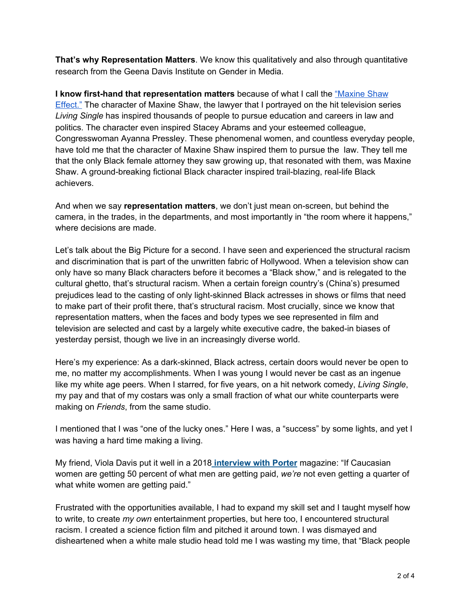**That's why Representation Matters**. We know this qualitatively and also through quantitative research from the Geena Davis Institute on Gender in Media.

**I know first-hand that representation matters** because of what I call the ["Maxine](https://www.essence.com/videos/maxine-shaw-inspired-stacey-abrams-ayanna-pressley-and-marilyn-mosby/) Shaw [Effect."](https://www.essence.com/videos/maxine-shaw-inspired-stacey-abrams-ayanna-pressley-and-marilyn-mosby/) The character of Maxine Shaw, the lawyer that I portrayed on the hit television series *Living Single* has inspired thousands of people to pursue education and careers in law and politics. The character even inspired Stacey Abrams and your esteemed colleague, Congresswoman Ayanna Pressley. These phenomenal women, and countless everyday people, have told me that the character of Maxine Shaw inspired them to pursue the law. They tell me that the only Black female attorney they saw growing up, that resonated with them, was Maxine Shaw. A ground-breaking fictional Black character inspired trail-blazing, real-life Black achievers.

And when we say **representation matters**, we don't just mean on-screen, but behind the camera, in the trades, in the departments, and most importantly in "the room where it happens," where decisions are made.

Let's talk about the Big Picture for a second. I have seen and experienced the structural racism and discrimination that is part of the unwritten fabric of Hollywood. When a television show can only have so many Black characters before it becomes a "Black show," and is relegated to the cultural ghetto, that's structural racism. When a certain foreign country's (China's) presumed prejudices lead to the casting of only light-skinned Black actresses in shows or films that need to make part of their profit there, that's structural racism. Most crucially, since we know that representation matters, when the faces and body types we see represented in film and television are selected and cast by a largely white executive cadre, the baked-in biases of yesterday persist, though we live in an increasingly diverse world.

Here's my experience: As a dark-skinned, Black actress, certain doors would never be open to me, no matter my accomplishments. When I was young I would never be cast as an ingenue like my white age peers. When I starred, for five years, on a hit network comedy, *Living Single*, my pay and that of my costars was only a small fraction of what our white counterparts were making on *Friends*, from the same studio.

I mentioned that I was "one of the lucky ones." Here I was, a "success" by some lights, and yet I was having a hard time making a living.

My friend, Viola Davis put it well in a 2018 **[interview](https://www.net-a-porter.com/us/en/porter/article-4725f3cef8393bdd/cover-stories/cover-stories/viola-davis) with Porter** magazine: "If Caucasian women are getting 50 percent of what men are getting paid, *we're* not even getting a quarter of what white women are getting paid."

Frustrated with the opportunities available, I had to expand my skill set and I taught myself how to write, to create *my own* entertainment properties, but here too, I encountered structural racism. I created a science fiction film and pitched it around town. I was dismayed and disheartened when a white male studio head told me I was wasting my time, that "Black people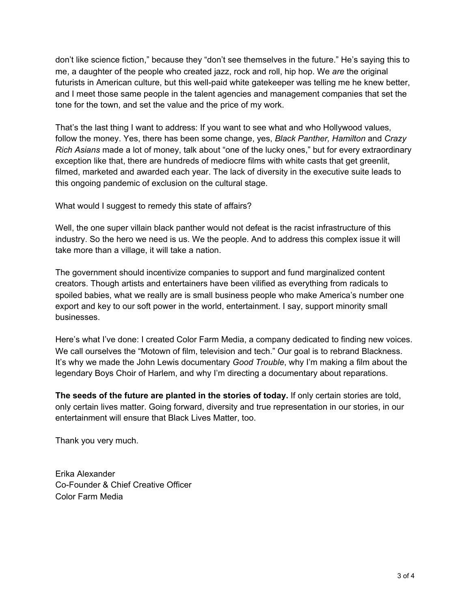don't like science fiction," because they "don't see themselves in the future." He's saying this to me, a daughter of the people who created jazz, rock and roll, hip hop. We *are* the original futurists in American culture, but this well-paid white gatekeeper was telling me he knew better, and I meet those same people in the talent agencies and management companies that set the tone for the town, and set the value and the price of my work.

That's the last thing I want to address: If you want to see what and who Hollywood values, follow the money. Yes, there has been some change, yes, *Black Panther, Hamilton* and *Crazy Rich Asians* made a lot of money, talk about "one of the lucky ones," but for every extraordinary exception like that, there are hundreds of mediocre films with white casts that get greenlit, filmed, marketed and awarded each year. The lack of diversity in the executive suite leads to this ongoing pandemic of exclusion on the cultural stage.

What would I suggest to remedy this state of affairs?

Well, the one super villain black panther would not defeat is the racist infrastructure of this industry. So the hero we need is us. We the people. And to address this complex issue it will take more than a village, it will take a nation.

The government should incentivize companies to support and fund marginalized content creators. Though artists and entertainers have been vilified as everything from radicals to spoiled babies, what we really are is small business people who make America's number one export and key to our soft power in the world, entertainment. I say, support minority small businesses.

Here's what I've done: I created Color Farm Media, a company dedicated to finding new voices. We call ourselves the "Motown of film, television and tech." Our goal is to rebrand Blackness. It's why we made the John Lewis documentary *Good Trouble*, why I'm making a film about the legendary Boys Choir of Harlem, and why I'm directing a documentary about reparations.

**The seeds of the future are planted in the stories of today.** If only certain stories are told, only certain lives matter. Going forward, diversity and true representation in our stories, in our entertainment will ensure that Black Lives Matter, too.

Thank you very much.

Erika Alexander Co-Founder & Chief Creative Officer Color Farm Media